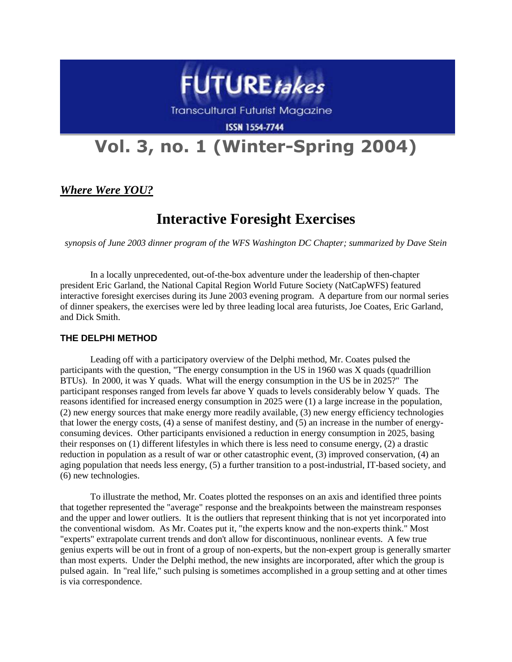

**Transcultural Futurist Magazine** 

**ISSN 1554-7744** 

# **Vol. 3, no. 1 (Winter-Spring 2004)**

### *Where Were YOU?*

## **Interactive Foresight Exercises**

*synopsis of June 2003 dinner program of the WFS Washington DC Chapter; summarized by Dave Stein*

In a locally unprecedented, out-of-the-box adventure under the leadership of then-chapter president Eric Garland, the National Capital Region World Future Society (NatCapWFS) featured interactive foresight exercises during its June 2003 evening program. A departure from our normal series of dinner speakers, the exercises were led by three leading local area futurists, Joe Coates, Eric Garland, and Dick Smith.

#### **THE DELPHI METHOD**

Leading off with a participatory overview of the Delphi method, Mr. Coates pulsed the participants with the question, "The energy consumption in the US in 1960 was X quads (quadrillion BTUs). In 2000, it was Y quads. What will the energy consumption in the US be in 2025?" The participant responses ranged from levels far above Y quads to levels considerably below Y quads. The reasons identified for increased energy consumption in 2025 were (1) a large increase in the population, (2) new energy sources that make energy more readily available, (3) new energy efficiency technologies that lower the energy costs, (4) a sense of manifest destiny, and (5) an increase in the number of energyconsuming devices. Other participants envisioned a reduction in energy consumption in 2025, basing their responses on (1) different lifestyles in which there is less need to consume energy, (2) a drastic reduction in population as a result of war or other catastrophic event, (3) improved conservation, (4) an aging population that needs less energy, (5) a further transition to a post-industrial, IT-based society, and (6) new technologies.

To illustrate the method, Mr. Coates plotted the responses on an axis and identified three points that together represented the "average" response and the breakpoints between the mainstream responses and the upper and lower outliers. It is the outliers that represent thinking that is not yet incorporated into the conventional wisdom. As Mr. Coates put it, "the experts know and the non-experts think." Most "experts" extrapolate current trends and don't allow for discontinuous, nonlinear events. A few true genius experts will be out in front of a group of non-experts, but the non-expert group is generally smarter than most experts. Under the Delphi method, the new insights are incorporated, after which the group is pulsed again. In "real life," such pulsing is sometimes accomplished in a group setting and at other times is via correspondence.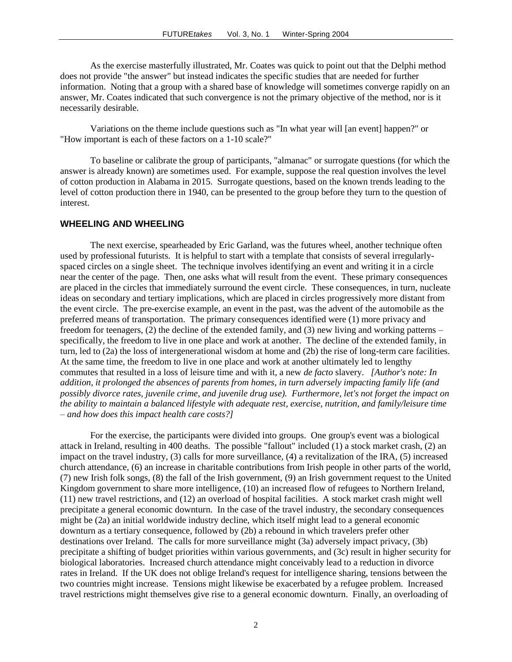As the exercise masterfully illustrated, Mr. Coates was quick to point out that the Delphi method does not provide "the answer" but instead indicates the specific studies that are needed for further information. Noting that a group with a shared base of knowledge will sometimes converge rapidly on an answer, Mr. Coates indicated that such convergence is not the primary objective of the method, nor is it necessarily desirable.

Variations on the theme include questions such as "In what year will [an event] happen?" or "How important is each of these factors on a 1-10 scale?"

To baseline or calibrate the group of participants, "almanac" or surrogate questions (for which the answer is already known) are sometimes used. For example, suppose the real question involves the level of cotton production in Alabama in 2015. Surrogate questions, based on the known trends leading to the level of cotton production there in 1940, can be presented to the group before they turn to the question of interest.

#### **WHEELING AND WHEELING**

The next exercise, spearheaded by Eric Garland, was the futures wheel, another technique often used by professional futurists. It is helpful to start with a template that consists of several irregularlyspaced circles on a single sheet. The technique involves identifying an event and writing it in a circle near the center of the page. Then, one asks what will result from the event. These primary consequences are placed in the circles that immediately surround the event circle. These consequences, in turn, nucleate ideas on secondary and tertiary implications, which are placed in circles progressively more distant from the event circle. The pre-exercise example, an event in the past, was the advent of the automobile as the preferred means of transportation. The primary consequences identified were (1) more privacy and freedom for teenagers, (2) the decline of the extended family, and (3) new living and working patterns – specifically, the freedom to live in one place and work at another. The decline of the extended family, in turn, led to (2a) the loss of intergenerational wisdom at home and (2b) the rise of long-term care facilities. At the same time, the freedom to live in one place and work at another ultimately led to lengthy commutes that resulted in a loss of leisure time and with it, a new *de facto* slavery. *[Author's note: In addition, it prolonged the absences of parents from homes, in turn adversely impacting family life (and possibly divorce rates, juvenile crime, and juvenile drug use). Furthermore, let's not forget the impact on the ability to maintain a balanced lifestyle with adequate rest, exercise, nutrition, and family/leisure time – and how does this impact health care costs?]*

For the exercise, the participants were divided into groups. One group's event was a biological attack in Ireland, resulting in 400 deaths. The possible "fallout" included (1) a stock market crash, (2) an impact on the travel industry, (3) calls for more surveillance, (4) a revitalization of the IRA, (5) increased church attendance, (6) an increase in charitable contributions from Irish people in other parts of the world, (7) new Irish folk songs, (8) the fall of the Irish government, (9) an Irish government request to the United Kingdom government to share more intelligence, (10) an increased flow of refugees to Northern Ireland, (11) new travel restrictions, and (12) an overload of hospital facilities. A stock market crash might well precipitate a general economic downturn. In the case of the travel industry, the secondary consequences might be (2a) an initial worldwide industry decline, which itself might lead to a general economic downturn as a tertiary consequence, followed by (2b) a rebound in which travelers prefer other destinations over Ireland. The calls for more surveillance might (3a) adversely impact privacy, (3b) precipitate a shifting of budget priorities within various governments, and (3c) result in higher security for biological laboratories. Increased church attendance might conceivably lead to a reduction in divorce rates in Ireland. If the UK does not oblige Ireland's request for intelligence sharing, tensions between the two countries might increase. Tensions might likewise be exacerbated by a refugee problem. Increased travel restrictions might themselves give rise to a general economic downturn. Finally, an overloading of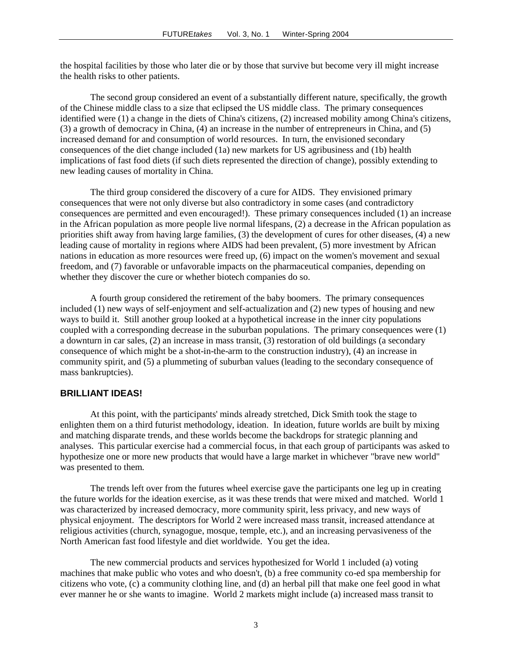the hospital facilities by those who later die or by those that survive but become very ill might increase the health risks to other patients.

The second group considered an event of a substantially different nature, specifically, the growth of the Chinese middle class to a size that eclipsed the US middle class. The primary consequences identified were (1) a change in the diets of China's citizens, (2) increased mobility among China's citizens, (3) a growth of democracy in China, (4) an increase in the number of entrepreneurs in China, and (5) increased demand for and consumption of world resources. In turn, the envisioned secondary consequences of the diet change included (1a) new markets for US agribusiness and (1b) health implications of fast food diets (if such diets represented the direction of change), possibly extending to new leading causes of mortality in China.

The third group considered the discovery of a cure for AIDS. They envisioned primary consequences that were not only diverse but also contradictory in some cases (and contradictory consequences are permitted and even encouraged!). These primary consequences included (1) an increase in the African population as more people live normal lifespans, (2) a decrease in the African population as priorities shift away from having large families, (3) the development of cures for other diseases, (4) a new leading cause of mortality in regions where AIDS had been prevalent, (5) more investment by African nations in education as more resources were freed up, (6) impact on the women's movement and sexual freedom, and (7) favorable or unfavorable impacts on the pharmaceutical companies, depending on whether they discover the cure or whether biotech companies do so.

A fourth group considered the retirement of the baby boomers. The primary consequences included (1) new ways of self-enjoyment and self-actualization and (2) new types of housing and new ways to build it. Still another group looked at a hypothetical increase in the inner city populations coupled with a corresponding decrease in the suburban populations. The primary consequences were (1) a downturn in car sales, (2) an increase in mass transit, (3) restoration of old buildings (a secondary consequence of which might be a shot-in-the-arm to the construction industry), (4) an increase in community spirit, and (5) a plummeting of suburban values (leading to the secondary consequence of mass bankruptcies).

#### **BRILLIANT IDEAS!**

At this point, with the participants' minds already stretched, Dick Smith took the stage to enlighten them on a third futurist methodology, ideation. In ideation, future worlds are built by mixing and matching disparate trends, and these worlds become the backdrops for strategic planning and analyses. This particular exercise had a commercial focus, in that each group of participants was asked to hypothesize one or more new products that would have a large market in whichever "brave new world" was presented to them.

The trends left over from the futures wheel exercise gave the participants one leg up in creating the future worlds for the ideation exercise, as it was these trends that were mixed and matched. World 1 was characterized by increased democracy, more community spirit, less privacy, and new ways of physical enjoyment. The descriptors for World 2 were increased mass transit, increased attendance at religious activities (church, synagogue, mosque, temple, etc.), and an increasing pervasiveness of the North American fast food lifestyle and diet worldwide. You get the idea.

The new commercial products and services hypothesized for World 1 included (a) voting machines that make public who votes and who doesn't, (b) a free community co-ed spa membership for citizens who vote, (c) a community clothing line, and (d) an herbal pill that make one feel good in what ever manner he or she wants to imagine. World 2 markets might include (a) increased mass transit to